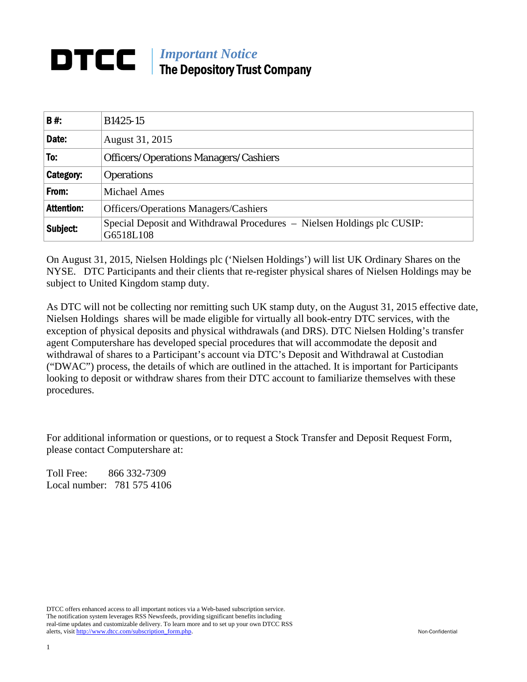# *Important Notice*  The Depository Trust Company

| <b>B#:</b>        | B1425-15                                                                             |  |
|-------------------|--------------------------------------------------------------------------------------|--|
| Date:             | August 31, 2015                                                                      |  |
| To:               | <b>Officers/Operations Managers/Cashiers</b>                                         |  |
| <b>Category:</b>  | <b>Operations</b>                                                                    |  |
| From:             | <b>Michael Ames</b>                                                                  |  |
| <b>Attention:</b> | <b>Officers/Operations Managers/Cashiers</b>                                         |  |
| Subject:          | Special Deposit and Withdrawal Procedures – Nielsen Holdings plc CUSIP:<br>G6518L108 |  |

On August 31, 2015, Nielsen Holdings plc ('Nielsen Holdings') will list UK Ordinary Shares on the NYSE. DTC Participants and their clients that re-register physical shares of Nielsen Holdings may be subject to United Kingdom stamp duty.

As DTC will not be collecting nor remitting such UK stamp duty, on the August 31, 2015 effective date, Nielsen Holdings shares will be made eligible for virtually all book-entry DTC services, with the exception of physical deposits and physical withdrawals (and DRS). DTC Nielsen Holding's transfer agent Computershare has developed special procedures that will accommodate the deposit and withdrawal of shares to a Participant's account via DTC's Deposit and Withdrawal at Custodian ("DWAC") process, the details of which are outlined in the attached. It is important for Participants looking to deposit or withdraw shares from their DTC account to familiarize themselves with these procedures.

For additional information or questions, or to request a Stock Transfer and Deposit Request Form, please contact Computershare at:

Toll Free: 866 332-7309 Local number: 781 575 4106

DTCC offers enhanced access to all important notices via a Web-based subscription service. The notification system leverages RSS Newsfeeds, providing significant benefits including real-time updates and customizable delivery. To learn more and to set up your own DTCC RSS alerts, visit http://www.dtcc.com/subscription\_form.php. Non-Confidential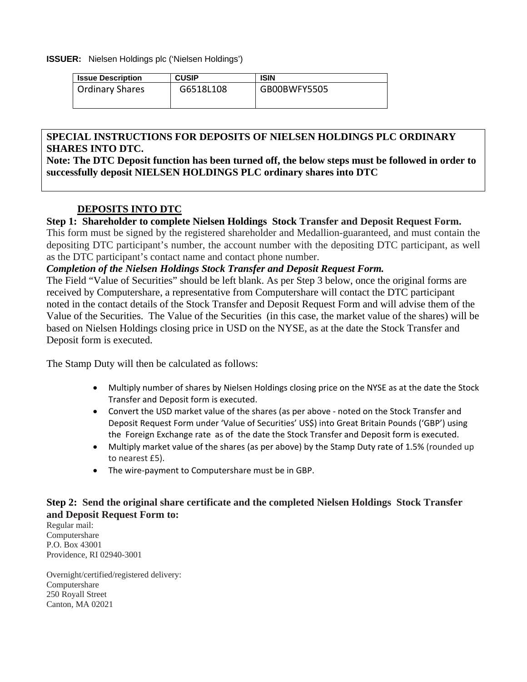#### **ISSUER:** Nielsen Holdings plc ('Nielsen Holdings')

| <b>Issue Description</b> | <b>CUSIP</b> | <b>ISIN</b>  |
|--------------------------|--------------|--------------|
| Ordinary Shares          | G6518L108    | GB00BWFY5505 |

### **SPECIAL INSTRUCTIONS FOR DEPOSITS OF NIELSEN HOLDINGS PLC ORDINARY SHARES INTO DTC.**

**Note: The DTC Deposit function has been turned off, the below steps must be followed in order to successfully deposit NIELSEN HOLDINGS PLC ordinary shares into DTC** 

# **DEPOSITS INTO DTC**

### **Step 1: Shareholder to complete Nielsen Holdings Stock Transfer and Deposit Request Form.**

This form must be signed by the registered shareholder and Medallion-guaranteed, and must contain the depositing DTC participant's number, the account number with the depositing DTC participant, as well as the DTC participant's contact name and contact phone number.

### *Completion of the Nielsen Holdings Stock Transfer and Deposit Request Form.*

The Field "Value of Securities" should be left blank. As per Step 3 below, once the original forms are received by Computershare, a representative from Computershare will contact the DTC participant noted in the contact details of the Stock Transfer and Deposit Request Form and will advise them of the Value of the Securities. The Value of the Securities (in this case, the market value of the shares) will be based on Nielsen Holdings closing price in USD on the NYSE, as at the date the Stock Transfer and Deposit form is executed.

The Stamp Duty will then be calculated as follows:

- Multiply number of shares by Nielsen Holdings closing price on the NYSE as at the date the Stock Transfer and Deposit form is executed.
- Convert the USD market value of the shares (as per above noted on the Stock Transfer and Deposit Request Form under 'Value of Securities' US\$) into Great Britain Pounds ('GBP') using the Foreign Exchange rate as of the date the Stock Transfer and Deposit form is executed.
- Multiply market value of the shares (as per above) by the Stamp Duty rate of 1.5% (rounded up to nearest £5).
- The wire‐payment to Computershare must be in GBP.

# **Step 2: Send the original share certificate and the completed Nielsen Holdings Stock Transfer and Deposit Request Form to:**

Regular mail: Computershare P.O. Box 43001 Providence, RI 02940-3001

Overnight/certified/registered delivery: Computershare 250 Royall Street Canton, MA 02021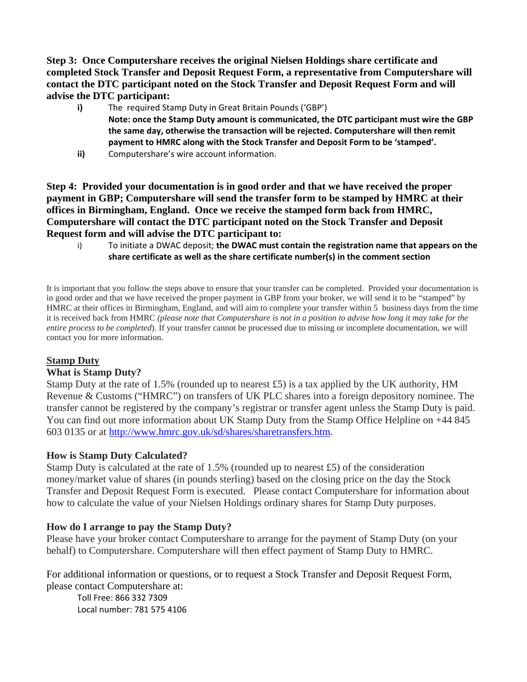**Step 3: Once Computershare receives the original Nielsen Holdings share certificate and completed Stock Transfer and Deposit Request Form, a representative from Computershare will contact the DTC participant noted on the Stock Transfer and Deposit Request Form and will advise the DTC participant:** 

- **i)** The required Stamp Duty in Great Britain Pounds ('GBP') **Note: once the Stamp Duty amount is communicated, the DTC participant must wire the GBP the same day, otherwise the transaction will be rejected. Computershare will then remit payment to HMRC along with the Stock Transfer and Deposit Form to be 'stamped'.**
- **ii)** Computershare's wire account information.

**Step 4: Provided your documentation is in good order and that we have received the proper payment in GBP; Computershare will send the transfer form to be stamped by HMRC at their offices in Birmingham, England. Once we receive the stamped form back from HMRC, Computershare will contact the DTC participant noted on the Stock Transfer and Deposit Request form and will advise the DTC participant to:** 

i) To initiate a DWAC deposit; **the DWAC must contain the registration name that appears on the share certificate as well as the share certificate number(s) in the comment section**

It is important that you follow the steps above to ensure that your transfer can be completed. Provided your documentation is in good order and that we have received the proper payment in GBP from your broker, we will send it to be "stamped" by HMRC at their offices in Birmingham, England, and will aim to complete your transfer within 5 business days from the time it is received back from HMRC *(please note that Computershare is not in a position to advise how long it may take for the entire process to be completed*). If your transfer cannot be processed due to missing or incomplete documentation, we will contact you for more information.

### **Stamp Duty**

# **What is Stamp Duty?**

Stamp Duty at the rate of 1.5% (rounded up to nearest £5) is a tax applied by the UK authority, HM Revenue & Customs ("HMRC") on transfers of UK PLC shares into a foreign depository nominee. The transfer cannot be registered by the company's registrar or transfer agent unless the Stamp Duty is paid. You can find out more information about UK Stamp Duty from the Stamp Office Helpline on +44 845 603 0135 or at http://www.hmrc.gov.uk/sd/shares/sharetransfers.htm.

### **How is Stamp Duty Calculated?**

Stamp Duty is calculated at the rate of 1.5% (rounded up to nearest £5) of the consideration money/market value of shares (in pounds sterling) based on the closing price on the day the Stock Transfer and Deposit Request Form is executed. Please contact Computershare for information about how to calculate the value of your Nielsen Holdings ordinary shares for Stamp Duty purposes.

# **How do I arrange to pay the Stamp Duty?**

Please have your broker contact Computershare to arrange for the payment of Stamp Duty (on your behalf) to Computershare. Computershare will then effect payment of Stamp Duty to HMRC.

For additional information or questions, or to request a Stock Transfer and Deposit Request Form, please contact Computershare at:

Toll Free: 866 332 7309 Local number: 781 575 4106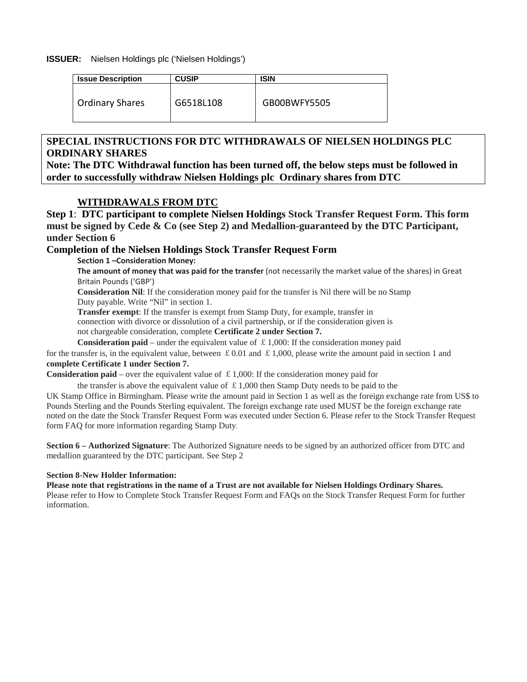#### **ISSUER:** Nielsen Holdings plc ('Nielsen Holdings')

| <b>Issue Description</b> | <b>CUSIP</b> | <b>ISIN</b>  |
|--------------------------|--------------|--------------|
| <b>Ordinary Shares</b>   | G6518L108    | GB00BWFY5505 |

# **SPECIAL INSTRUCTIONS FOR DTC WITHDRAWALS OF NIELSEN HOLDINGS PLC ORDINARY SHARES**

**Note: The DTC Withdrawal function has been turned off, the below steps must be followed in order to successfully withdraw Nielsen Holdings plc Ordinary shares from DTC** 

### **WITHDRAWALS FROM DTC**

**Step 1**: **DTC participant to complete Nielsen Holdings Stock Transfer Request Form. This form must be signed by Cede & Co (see Step 2) and Medallion-guaranteed by the DTC Participant, under Section 6** 

### **Completion of the Nielsen Holdings Stock Transfer Request Form**

**Section 1 –Consideration Money:**

**The amount of money that was paid for the transfer** (not necessarily the market value of the shares) in Great Britain Pounds ('GBP')

**Consideration Nil**: If the consideration money paid for the transfer is Nil there will be no Stamp Duty payable. Write "Nil" in section 1.

**Transfer exempt**: If the transfer is exempt from Stamp Duty, for example, transfer in

connection with divorce or dissolution of a civil partnership, or if the consideration given is

not chargeable consideration, complete **Certificate 2 under Section 7.**

**Consideration paid** – under the equivalent value of  $\pounds$  1,000: If the consideration money paid

for the transfer is, in the equivalent value, between £0.01 and £1,000, please write the amount paid in section 1 and **complete Certificate 1 under Section 7.** 

**Consideration paid** – over the equivalent value of  $\pounds$  1,000: If the consideration money paid for

the transfer is above the equivalent value of  $\pounds$  1,000 then Stamp Duty needs to be paid to the

UK Stamp Office in Birmingham. Please write the amount paid in Section 1 as well as the foreign exchange rate from US\$ to Pounds Sterling and the Pounds Sterling equivalent. The foreign exchange rate used MUST be the foreign exchange rate noted on the date the Stock Transfer Request Form was executed under Section 6. Please refer to the Stock Transfer Request form FAQ for more information regarding Stamp Duty.

**Section 6 – Authorized Signature**: The Authorized Signature needs to be signed by an authorized officer from DTC and medallion guaranteed by the DTC participant. See Step 2

#### **Section 8-New Holder Information:**

**Please note that registrations in the name of a Trust are not available for Nielsen Holdings Ordinary Shares.**  Please refer to How to Complete Stock Transfer Request Form and FAQs on the Stock Transfer Request Form for further information.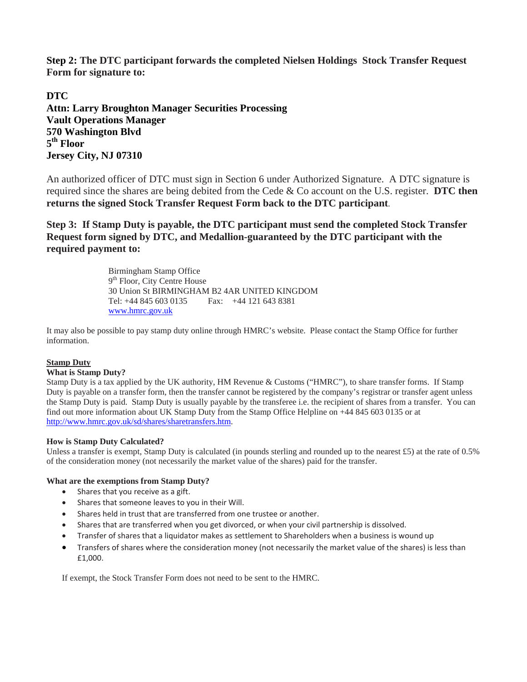**Step 2: The DTC participant forwards the completed Nielsen Holdings Stock Transfer Request Form for signature to:** 

**DTC Attn: Larry Broughton Manager Securities Processing Vault Operations Manager 570 Washington Blvd 5th Floor Jersey City, NJ 07310** 

An authorized officer of DTC must sign in Section 6 under Authorized Signature. A DTC signature is required since the shares are being debited from the Cede & Co account on the U.S. register. **DTC then returns the signed Stock Transfer Request Form back to the DTC participant**.

**Step 3: If Stamp Duty is payable, the DTC participant must send the completed Stock Transfer Request form signed by DTC, and Medallion-guaranteed by the DTC participant with the required payment to:** 

> Birmingham Stamp Office 9<sup>th</sup> Floor, City Centre House 30 Union St BIRMINGHAM B2 4AR UNITED KINGDOM Tel: +44 845 603 0135 Fax: +44 121 643 8381 www.hmrc.gov.uk

It may also be possible to pay stamp duty online through HMRC's website. Please contact the Stamp Office for further information.

#### **Stamp Duty**

#### **What is Stamp Duty?**

Stamp Duty is a tax applied by the UK authority, HM Revenue & Customs ("HMRC"), to share transfer forms. If Stamp Duty is payable on a transfer form, then the transfer cannot be registered by the company's registrar or transfer agent unless the Stamp Duty is paid. Stamp Duty is usually payable by the transferee i.e. the recipient of shares from a transfer. You can find out more information about UK Stamp Duty from the Stamp Office Helpline on +44 845 603 0135 or at http://www.hmrc.gov.uk/sd/shares/sharetransfers.htm.

#### **How is Stamp Duty Calculated?**

Unless a transfer is exempt, Stamp Duty is calculated (in pounds sterling and rounded up to the nearest £5) at the rate of 0.5% of the consideration money (not necessarily the market value of the shares) paid for the transfer.

#### **What are the exemptions from Stamp Duty?**

- Shares that you receive as a gift.
- Shares that someone leaves to you in their Will.
- Shares held in trust that are transferred from one trustee or another.
- Shares that are transferred when you get divorced, or when your civil partnership is dissolved.
- Transfer of shares that a liquidator makes as settlement to Shareholders when a business is wound up
- Transfers of shares where the consideration money (not necessarily the market value of the shares) is less than £1,000.

If exempt, the Stock Transfer Form does not need to be sent to the HMRC.